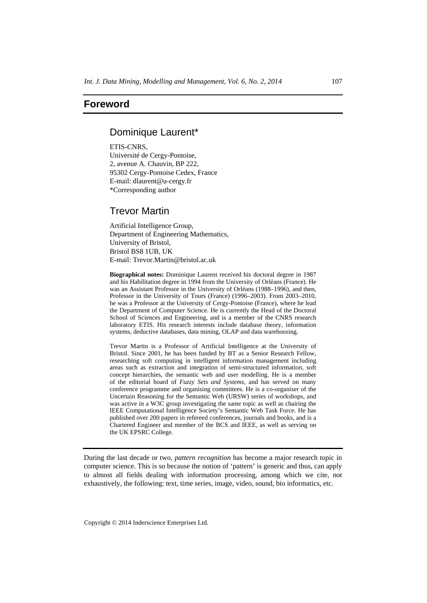## **Foreword**

### Dominique Laurent\*

ETIS-CNRS, Université de Cergy-Pontoise, 2, avenue A. Chauvin, BP 222, 95302 Cergy-Pontoise Cedex, France E-mail: dlaurent@u-cergy.fr \*Corresponding author

# Trevor Martin

Artificial Intelligence Group, Department of Engineering Mathematics, University of Bristol, Bristol BS8 1UB, UK E-mail: Trevor.Martin@bristol.ac.uk

**Biographical notes:** Dominique Laurent received his doctoral degree in 1987 and his Habilitation degree in 1994 from the University of Orléans (France). He was an Assistant Professor in the University of Orléans (1988–1996), and then, Professor in the University of Tours (France) (1996–2003). From 2003–2010, he was a Professor at the University of Cergy-Pontoise (France), where he lead the Department of Computer Science. He is currently the Head of the Doctoral School of Sciences and Engineering, and is a member of the CNRS research laboratory ETIS. His research interests include database theory, information systems, deductive databases, data mining, OLAP and data warehousing.

Trevor Martin is a Professor of Artificial Intelligence at the University of Bristol. Since 2001, he has been funded by BT as a Senior Research Fellow, researching soft computing in intelligent information management including areas such as extraction and integration of semi-structured information, soft concept hierarchies, the semantic web and user modelling. He is a member of the editorial board of *Fuzzy Sets and Systems*, and has served on many conference programme and organising committees. He is a co-organiser of the Uncertain Reasoning for the Semantic Web (URSW) series of workshops, and was active in a W3C group investigating the same topic as well as chairing the IEEE Computational Intelligence Society's Semantic Web Task Force. He has published over 200 papers in refereed conferences, journals and books, and is a Chartered Engineer and member of the BCS and IEEE, as well as serving on the UK EPSRC College.

During the last decade or two, *pattern recognition* has become a major research topic in computer science. This is so because the notion of 'pattern' is generic and thus, can apply to almost all fields dealing with information processing, among which we cite, not exhaustively, the following: text, time series, image, video, sound, bio informatics, etc.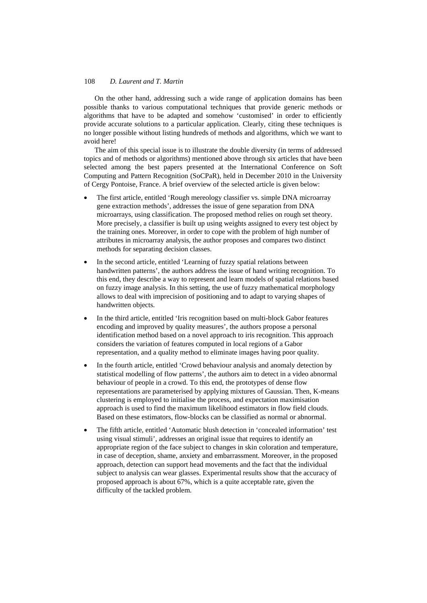### 108 *D. Laurent and T. Martin*

On the other hand, addressing such a wide range of application domains has been possible thanks to various computational techniques that provide generic methods or algorithms that have to be adapted and somehow 'customised' in order to efficiently provide accurate solutions to a particular application. Clearly, citing these techniques is no longer possible without listing hundreds of methods and algorithms, which we want to avoid here!

The aim of this special issue is to illustrate the double diversity (in terms of addressed topics and of methods or algorithms) mentioned above through six articles that have been selected among the best papers presented at the International Conference on Soft Computing and Pattern Recognition (SoCPaR), held in December 2010 in the University of Cergy Pontoise, France. A brief overview of the selected article is given below:

- The first article, entitled 'Rough mereology classifier vs. simple DNA microarray gene extraction methods', addresses the issue of gene separation from DNA microarrays, using classification. The proposed method relies on rough set theory. More precisely, a classifier is built up using weights assigned to every test object by the training ones. Moreover, in order to cope with the problem of high number of attributes in microarray analysis, the author proposes and compares two distinct methods for separating decision classes.
- In the second article, entitled 'Learning of fuzzy spatial relations between handwritten patterns', the authors address the issue of hand writing recognition. To this end, they describe a way to represent and learn models of spatial relations based on fuzzy image analysis. In this setting, the use of fuzzy mathematical morphology allows to deal with imprecision of positioning and to adapt to varying shapes of handwritten objects.
- In the third article, entitled 'Iris recognition based on multi-block Gabor features encoding and improved by quality measures', the authors propose a personal identification method based on a novel approach to iris recognition. This approach considers the variation of features computed in local regions of a Gabor representation, and a quality method to eliminate images having poor quality.
- In the fourth article, entitled 'Crowd behaviour analysis and anomaly detection by statistical modelling of flow patterns', the authors aim to detect in a video abnormal behaviour of people in a crowd. To this end, the prototypes of dense flow representations are parameterised by applying mixtures of Gaussian. Then, K-means clustering is employed to initialise the process, and expectation maximisation approach is used to find the maximum likelihood estimators in flow field clouds. Based on these estimators, flow-blocks can be classified as normal or abnormal.
- The fifth article, entitled 'Automatic blush detection in 'concealed information' test using visual stimuli', addresses an original issue that requires to identify an appropriate region of the face subject to changes in skin coloration and temperature, in case of deception, shame, anxiety and embarrassment. Moreover, in the proposed approach, detection can support head movements and the fact that the individual subject to analysis can wear glasses. Experimental results show that the accuracy of proposed approach is about 67%, which is a quite acceptable rate, given the difficulty of the tackled problem.